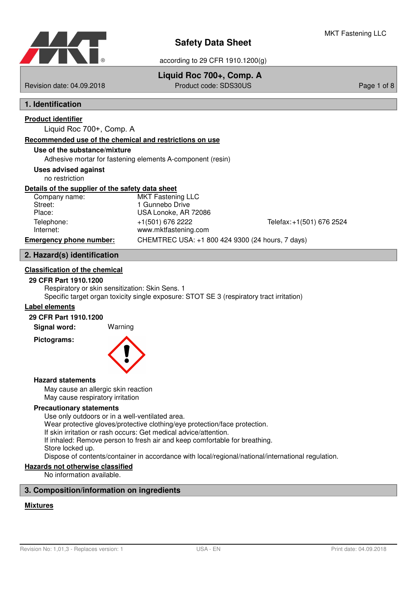

# **Liquid Roc 700+, Comp. A**

Revision date: 04.09.2018 Product code: SDS30US Page 1 of 8

# **1. Identification**

# **Product identifier**

Liquid Roc 700+, Comp. A

#### **Recommended use of the chemical and restrictions on use**

### **Use of the substance/mixture**

Adhesive mortar for fastening elements A-component (resin)

#### **Uses advised against**

no restriction

#### **Details of the supplier of the safety data sheet**

| Telefax: +1(501) 676 2524 |
|---------------------------|
|                           |
|                           |
|                           |

# **2. Hazard(s) identification**

### **Classification of the chemical**

#### **29 CFR Part 1910.1200**

Respiratory or skin sensitization: Skin Sens. 1 Specific target organ toxicity single exposure: STOT SE 3 (respiratory tract irritation)

#### **Label elements**

#### **29 CFR Part 1910.1200**

**Signal word:** Warning

**Pictograms:**



#### **Hazard statements**

May cause an allergic skin reaction May cause respiratory irritation

### **Precautionary statements**

Use only outdoors or in a well-ventilated area.

Wear protective gloves/protective clothing/eye protection/face protection.

If skin irritation or rash occurs: Get medical advice/attention.

If inhaled: Remove person to fresh air and keep comfortable for breathing.

# Store locked up.

Dispose of contents/container in accordance with local/regional/national/international regulation.

# **Hazards not otherwise classified**

No information available.

# **3. Composition/information on ingredients**

# **Mixtures**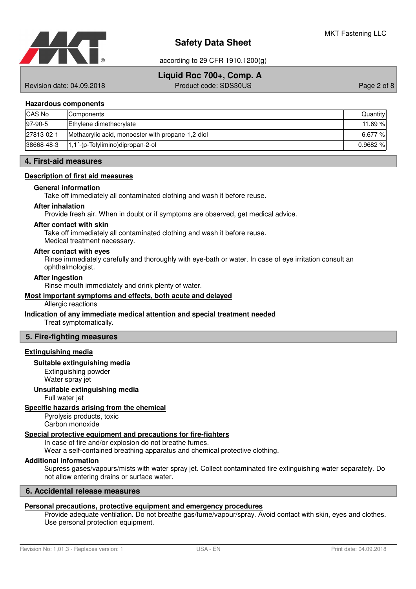

according to 29 CFR 1910.1200(g)

# **Liquid Roc 700+, Comp. A**

Revision date: 04.09.2018 Product code: SDS30US Page 2 of 8

#### **Hazardous components**

| CAS No     | Components                                        | Quantity   |
|------------|---------------------------------------------------|------------|
| 97-90-5    | Ethylene dimethacrylate                           | 11.69 %    |
| 27813-02-1 | Methacrylic acid, monoester with propane-1,2-diol | 6.677 %    |
| 38668-48-3 | $1,1$ -(p-Tolylimino)dipropan-2-ol                | $0.9682\%$ |

#### **4. First-aid measures**

#### **Description of first aid measures**

#### **General information**

Take off immediately all contaminated clothing and wash it before reuse.

#### **After inhalation**

Provide fresh air. When in doubt or if symptoms are observed, get medical advice.

#### **After contact with skin**

Take off immediately all contaminated clothing and wash it before reuse.

Medical treatment necessary.

#### **After contact with eyes**

Rinse immediately carefully and thoroughly with eye-bath or water. In case of eye irritation consult an ophthalmologist.

#### **After ingestion**

Rinse mouth immediately and drink plenty of water.

#### **Most important symptoms and effects , both acute and delayed**

Allergic reactions

#### **Indication of any immediate medical attention and special treatment needed**

Treat symptomatically.

#### **5. Fire-fighting measures**

#### **Extinguishing media**

#### **Suitable extinguishing media**

Extinguishing powder Water spray jet

#### **Unsuitable extinguishing media**

Full water jet

# **Specific hazards arising from the chemical**

Pyrolysis products, toxic Carbon monoxide

# **Special protective equipment and precautions for fire-fighters**

In case of fire and/or explosion do not breathe fumes.

Wear a self-contained breathing apparatus and chemical protective clothing.

# **Additional information**

Supress gases/vapours/mists with water spray jet. Collect contaminated fire extinguishing water separately. Do not allow entering drains or surface water.

# **6. Accidental release measures**

# **Personal precautions, protective equipment and emergency procedures**

Provide adequate ventilation. Do not breathe gas/fume/vapour/spray. Avoid contact with skin, eyes and clothes. Use personal protection equipment.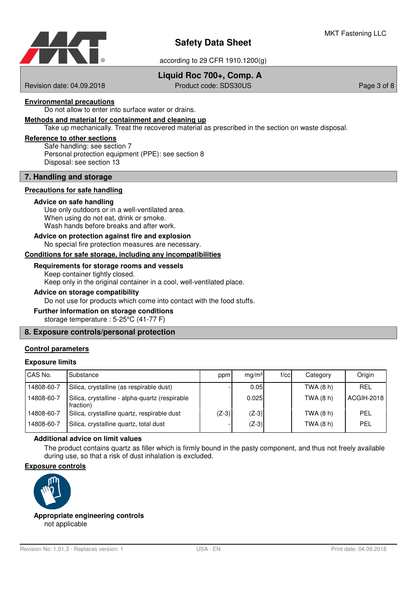

according to 29 CFR 1910.1200(g)

# **Liquid Roc 700+, Comp. A**

Revision date: 04.09.2018 Product code: SDS30US Page 3 of 8

#### **Environmental precautions**

Do not allow to enter into surface water or drains.

#### **Methods and material for containment and cleaning up**

Take up mechanically. Treat the recovered material as prescribed in the section on waste disposal.

#### **Reference to other sections**

Safe handling: see section 7 Personal protection equipment (PPE): see section 8 Disposal: see section 13

#### **7. Handling and storage**

#### **Precautions for safe handling**

#### **Advice on safe handling**

Use only outdoors or in a well-ventilated area. When using do not eat, drink or smoke. Wash hands before breaks and after work.

#### No special fire protection measures are necessary. **Advice on protection against fire and explosion**

# Conditions for safe storage, including any incompatibilities

#### **Requirements for storage rooms and vessels**

Keep container tightly closed. Keep only in the original container in a cool, well-ventilated place.

#### **Advice on storage compatibility**

Do not use for products which come into contact with the food stuffs.

# **Further information on storage conditions**

storage temperature : 5-25°C (41-77 F)

### **8. Exposure controls/personal protection**

#### **Control parameters**

#### **Exposure limits**

| CAS No.    | Substance                                                   | ppm     | mq/m <sup>3</sup> | f/cc | Category  | Origin     |
|------------|-------------------------------------------------------------|---------|-------------------|------|-----------|------------|
| 14808-60-7 | Silica, crystalline (as respirable dust)                    |         | 0.05              |      | TWA (8 h) | <b>REL</b> |
| 14808-60-7 | Silica, crystalline - alpha-quartz (respirable<br>fraction) |         | 0.025             |      | TWA (8 h) | ACGIH-2018 |
| 14808-60-7 | Silica, crystalline quartz, respirable dust                 | $(Z-3)$ | $(Z-3)$           |      | TWA (8 h) | PEL        |
| 14808-60-7 | Silica, crystalline quartz, total dust                      |         | $(Z-3)$           |      | TWA (8 h) | PEL        |

### **Additional advice on limit values**

The product contains quartz as filler which is firmly bound in the pasty component, and thus not freely available during use, so that a risk of dust inhalation is excluded.

#### **Exposure controls**



not applicable **Appropriate engineering controls**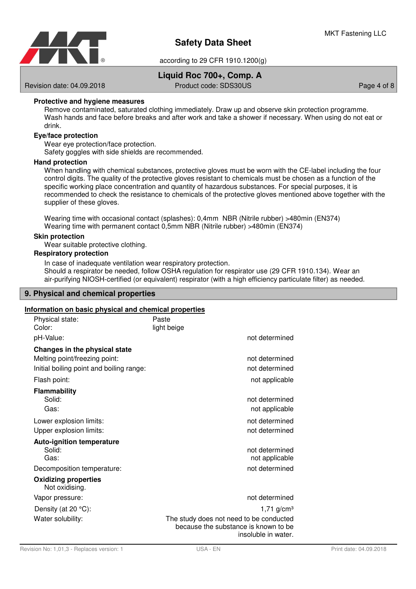

# **Liquid Roc 700+, Comp. A**

Revision date: 04.09.2018 **Product code: SDS30US** Page 4 of 8

### **Protective and hygiene measures**

Remove contaminated, saturated clothing immediately. Draw up and observe skin protection programme. Wash hands and face before breaks and after work and take a shower if necessary. When using do not eat or drink.

#### **Eye/face protection**

Wear eye protection/face protection.

Safety goggles with side shields are recommended.

#### **Hand protection**

When handling with chemical substances, protective gloves must be worn with the CE-label including the four control digits. The quality of the protective gloves resistant to chemicals must be chosen as a function of the specific working place concentration and quantity of hazardous substances. For special purposes, it is recommended to check the resistance to chemicals of the protective gloves mentioned above together with the supplier of these gloves.

Wearing time with occasional contact (splashes): 0,4mm NBR (Nitrile rubber) >480min (EN374) Wearing time with permanent contact 0,5mm NBR (Nitrile rubber) >480min (EN374)

#### **Skin protection**

Wear suitable protective clothing.

#### **Respiratory protection**

In case of inadequate ventilation wear respiratory protection. Should a respirator be needed, follow OSHA regulation for respirator use (29 CFR 1910.134). Wear an air-purifying NIOSH-certified (or equivalent) respirator (with a high efficiency particulate filter) as needed.

#### **9. Physical and chemical properties**

#### **Information on basic physical and chemical properties**

| Physical state:<br>Color:                                                                                  | Paste<br>light beige                                                                                                               |
|------------------------------------------------------------------------------------------------------------|------------------------------------------------------------------------------------------------------------------------------------|
| pH-Value:                                                                                                  | not determined                                                                                                                     |
| Changes in the physical state<br>Melting point/freezing point:<br>Initial boiling point and boiling range: | not determined<br>not determined                                                                                                   |
| Flash point:                                                                                               | not applicable                                                                                                                     |
| <b>Flammability</b><br>Solid:<br>Gas:                                                                      | not determined<br>not applicable                                                                                                   |
| Lower explosion limits:<br>Upper explosion limits:                                                         | not determined<br>not determined                                                                                                   |
| <b>Auto-ignition temperature</b><br>Solid:<br>Gas:<br>Decomposition temperature:                           | not determined<br>not applicable<br>not determined                                                                                 |
| <b>Oxidizing properties</b><br>Not oxidising.                                                              |                                                                                                                                    |
| Vapor pressure:                                                                                            | not determined                                                                                                                     |
| Density (at $20 °C$ ):<br>Water solubility:                                                                | $1,71$ g/cm <sup>3</sup><br>The study does not need to be conducted<br>because the substance is known to be<br>insoluble in water. |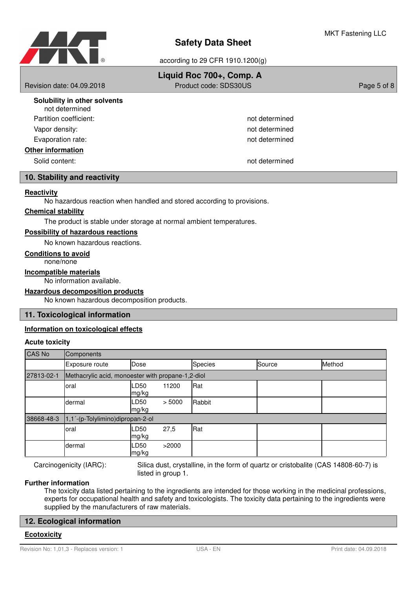

|                                                | Liquid Roc 700+, Comp. A |             |
|------------------------------------------------|--------------------------|-------------|
| Revision date: 04.09.2018                      | Product code: SDS30US    | Page 5 of 8 |
| Solubility in other solvents<br>not determined |                          |             |
| Partition coefficient:                         | not determined           |             |
| Vapor density:                                 | not determined           |             |
| Evaporation rate:                              | not determined           |             |
| <b>Other information</b>                       |                          |             |
| Solid content:                                 | not determined           |             |
| 10. Stability and reactivity                   |                          |             |

# **Reactivity**

No hazardous reaction when handled and stored according to provisions.

#### **Chemical stability**

The product is stable under storage at normal ambient temperatures.

#### **Possibility of hazardous reactions**

No known hazardous reactions.

#### **Conditions to avoid**

none/none

**Incompatible materials**

No information available.

# **Hazardous decomposition products**

No known hazardous decomposition products.

### **11. Toxicological information**

#### **Information on toxicological effects**

#### **Acute toxicity**

| <b>CAS No</b> | <b>Components</b>                                 |               |        |                |        |        |
|---------------|---------------------------------------------------|---------------|--------|----------------|--------|--------|
|               | Exposure route                                    | Dose          |        | <b>Species</b> | Source | Method |
| 27813-02-1    | Methacrylic acid, monoester with propane-1,2-diol |               |        |                |        |        |
|               | oral                                              | LD50<br>mg/kg | 11200  | Rat            |        |        |
|               | dermal                                            | LD50<br>mg/kg | > 5000 | Rabbit         |        |        |
| 38668-48-3    | 1,1'-(p-Tolylimino)dipropan-2-ol                  |               |        |                |        |        |
|               | oral                                              | LD50<br>mg/kg | 27,5   | Rat            |        |        |
|               | dermal                                            | LD50<br>mg/kg | >2000  |                |        |        |

Carcinogenicity (IARC):

Silica dust, crystalline, in the form of quartz or cristobalite (CAS 14808-60-7) is listed in group 1.

#### **Further information**

The toxicity data listed pertaining to the ingredients are intended for those working in the medicinal professions, experts for occupational health and safety and toxicologists. The toxicity data pertaining to the ingredients were supplied by the manufacturers of raw materials.

#### **12. Ecological information**

#### **Ecotoxicity**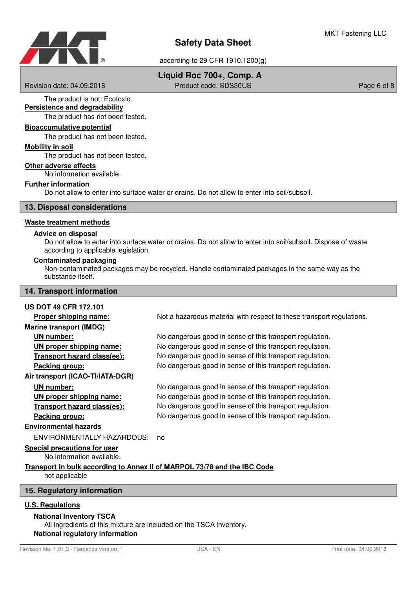

# **Liquid Roc 700+, Comp. A**

Revision date: 04.09.2018 **Product code: SDS30US** Page 6 of 8

The product is not: Ecotoxic. **Persistence and degradability**

The product has not been tested.

# **Bioaccumulative potential**

The product has not been tested.

#### **Mobility in soil**

The product has not been tested.

#### **Other adverse effects**

No information available.

## **Further information**

Do not allow to enter into surface water or drains. Do not allow to enter into soil/subsoil.

**13. Disposal considerations**

#### **Waste treatment methods**

#### **Advice on disposal**

Do not allow to enter into surface water or drains. Do not allow to enter into soil/subsoil. Dispose of waste according to applicable legislation.

#### **Contaminated packaging**

Non-contaminated packages may be recycled. Handle contaminated packages in the same way as the substance itself.

#### **14. Transport information**

#### **US DOT 49 CFR 172.101**

**Proper shipping name:** Not a hazardous material with respect to these transport regulations. **Marine transport (IMDG) UN number:** No dangerous good in sense of this transport regulation. **UN proper shipping name:** No dangerous good in sense of this transport regulation. **Transport hazard class (es):** No dangerous good in sense of this transport regulation. **Packing group:** No dangerous good in sense of this transport regulation. **Air transport (ICAO-TI/IATA-DGR) UN number:** No dangerous good in sense of this transport regulation. **UN proper shipping name:** No dangerous good in sense of this transport regulation. **Transport hazard class (es):** No dangerous good in sense of this transport regulation. **Packing group:** No dangerous good in sense of this transport regulation. **Environmental hazards** ENVIRONMENTALLY HAZARDOUS: no

#### **Special precautions for user**

No information available.

#### **Transport in bulk according to Annex II of MARPOL 73/78 and the IBC Code** not applicable

#### **15. Regulatory information**

#### **U.S. Regulations**

#### **National Inventory TSCA**

All ingredients of this mixture are included on the TSCA Inventory. **National regulatory information**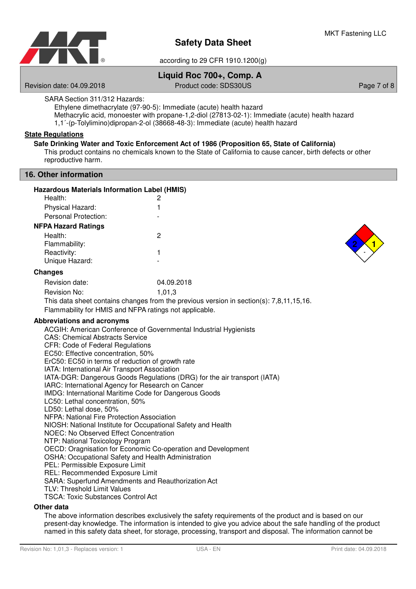

# **Liquid Roc 700+, Comp. A**

Revision date: 04.09.2018 Product code: SDS30US Page 7 of 8

SARA Section 311/312 Hazards:

Ethylene dimethacrylate (97-90-5): Immediate (acute) health hazard

Methacrylic acid, monoester with propane-1,2-diol (27813-02-1): Immediate (acute) health hazard

1,1´-(p-Tolylimino)dipropan-2-ol (38668-48-3): Immediate (acute) health hazard

# **State Regulations**

### **Safe Drinking Water and Toxic Enforcement Act of 1986 (Proposition 65, State of California)**

This product contains no chemicals known to the State of California to cause cancer, birth defects or other reproductive harm.

#### **16. Other information**

| <b>Hazardous Materials Information Label (HMIS)</b> |            |  |
|-----------------------------------------------------|------------|--|
| Health:                                             | 2          |  |
| Physical Hazard:                                    |            |  |
| Personal Protection:                                |            |  |
| <b>NFPA Hazard Ratings</b>                          |            |  |
| Health:                                             | 2          |  |
| Flammability:                                       |            |  |
| Reactivity:                                         |            |  |
| Unique Hazard:                                      |            |  |
| Changes                                             |            |  |
| Revision date:                                      | 04.09.2018 |  |
| Revision No:                                        | 1 N 1 2    |  |



1,01,3 Revision No: This data sheet contains changes from the previous version in section(s): 7,8,11,15,16.

Flammability for HMIS and NFPA ratings not applicable.

### **Abbreviations and acronyms**

ACGIH: American Conference of Governmental Industrial Hygienists CAS: Chemical Abstracts Service CFR: Code of Federal Regulations EC50: Effective concentration, 50% ErC50: EC50 in terms of reduction of growth rate IATA: International Air Transport Association IATA-DGR: Dangerous Goods Regulations (DRG) for the air transport (IATA) IARC: International Agency for Research on Cancer IMDG: International Maritime Code for Dangerous Goods LC50: Lethal concentration, 50% LD50: Lethal dose, 50% NFPA: National Fire Protection Association NIOSH: National Institute for Occupational Safety and Health NOEC: No Observed Effect Concentration NTP: National Toxicology Program OECD: Oragnisation for Economic Co-operation and Development OSHA: Occupational Safety and Health Administration PEL: Permissible Exposure Limit REL: Recommended Exposure Limit SARA: Superfund Amendments and Reauthorization Act TLV: Threshold Limit Values TSCA: Toxic Substances Control Act

#### **Other data**

The above information describes exclusively the safety requirements of the product and is based on our present-day knowledge. The information is intended to give you advice about the safe handling of the product named in this safety data sheet, for storage, processing, transport and disposal. The information cannot be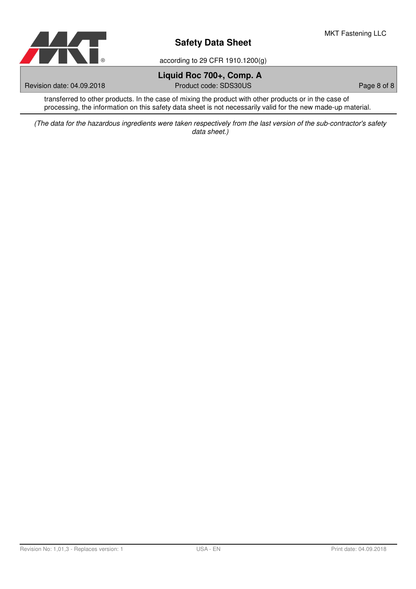

according to 29 CFR 1910.1200(g)

# **Liquid Roc 700+, Comp. A**

Revision date: 04.09.2018 **Product code: SDS30US** Page 8 of 8

transferred to other products. In the case of mixing the product with other products or in the case of processing, the information on this safety data sheet is not necessarily valid for the new made-up material.

(The data for the hazardous ingredients were taken respectively from the last version of the sub-contractor's safety data sheet.)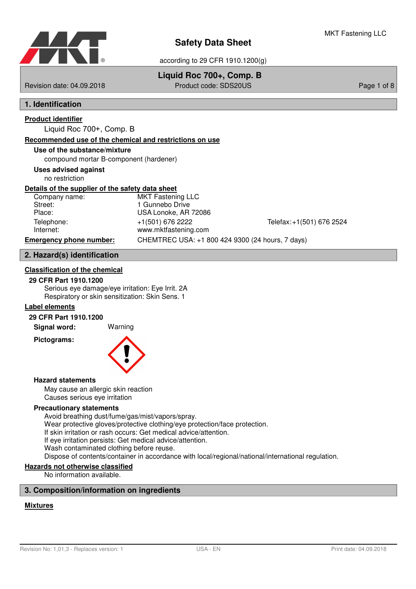

# **Liquid Roc 700+, Comp. B**

Revision date: 04.09.2018 Product code: SDS20US Page 1 of 8

# **1. Identification**

# **Product identifier**

Liquid Roc 700+, Comp. B

# **Recommended use of the chemical and restrictions on use**

# **Use of the substance/mixture**

compound mortar B-component (hardener)

# **Uses advised against**

no restriction

### **Details of the supplier of the safety data sheet**

| Company name:                  | <b>MKT Fastening LLC</b>                         |                           |
|--------------------------------|--------------------------------------------------|---------------------------|
| Street:                        | 1 Gunnebo Drive                                  |                           |
| Place:                         | USA Lonoke, AR 72086                             |                           |
| Telephone:                     | +1(501) 676 2222                                 | Telefax: +1(501) 676 2524 |
| Internet:                      | www.mktfastening.com                             |                           |
| <b>Emergency phone number:</b> | CHEMTREC USA: +1 800 424 9300 (24 hours, 7 days) |                           |

# **2. Hazard(s) identification**

### **Classification of the chemical**

#### **29 CFR Part 1910.1200**

Serious eye damage/eye irritation: Eye Irrit. 2A Respiratory or skin sensitization: Skin Sens. 1

### **Label elements**

#### **29 CFR Part 1910.1200**

**Signal word:** Warning

**Pictograms:**



#### **Hazard statements**

May cause an allergic skin reaction Causes serious eye irritation

#### **Precautionary statements**

Avoid breathing dust/fume/gas/mist/vapors/spray. Wear protective gloves/protective clothing/eye protection/face protection. If skin irritation or rash occurs: Get medical advice/attention. If eye irritation persists: Get medical advice/attention. Wash contaminated clothing before reuse. Dispose of contents/container in accordance with local/regional/national/international regulation.

# **Hazards not otherwise classified**

No information available.

# **3. Composition/information on ingredients**

### **Mixtures**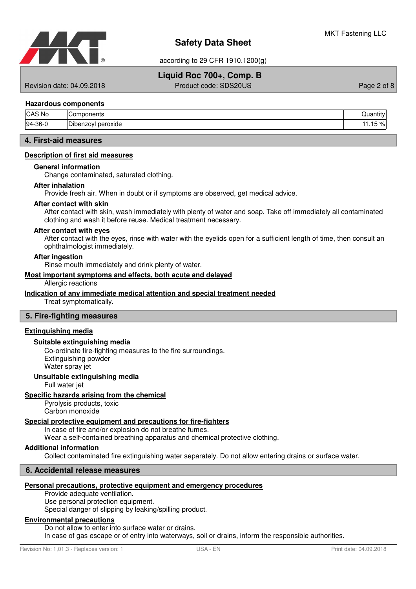

# **Liquid Roc 700+, Comp. B**

Revision date: 04.09.2018 Product code: SDS20US Page 2 of 8

#### **Hazardous components**

| <b>CAS No</b> | nmponents<br>~omٽ  | .<br>Juar <sup>®</sup><br>.ıtıt∨ |
|---------------|--------------------|----------------------------------|
| $94-36-0$     | Dibenzoyl peroxide | 150/<br>ы<br>1.IO<br>7٥          |

# **4. First-aid measures**

#### **Description of first aid measures**

#### **General information**

Change contaminated, saturated clothing.

#### **After inhalation**

Provide fresh air. When in doubt or if symptoms are observed, get medical advice.

#### **After contact with skin**

After contact with skin, wash immediately with plenty of water and soap. Take off immediately all contaminated clothing and wash it before reuse. Medical treatment necessary.

#### **After contact with eyes**

After contact with the eyes, rinse with water with the eyelids open for a sufficient length of time, then consult an ophthalmologist immediately.

#### **After ingestion**

Rinse mouth immediately and drink plenty of water.

#### **Most important symptoms and effects , both acute and delayed**

Allergic reactions

#### **Indication of any immediate medical attention and special treatment needed**

Treat symptomatically.

#### **5. Fire-fighting measures**

#### **Extinguishing media**

#### **Suitable extinguishing media**

Co-ordinate fire-fighting measures to the fire surroundings. Extinguishing powder Water spray jet

#### **Unsuitable extinguishing media**

Full water jet

#### **Specific hazards arising from the chemical**

Pyrolysis products, toxic Carbon monoxide

#### **Special protective equipment and precautions for fire - fighters**

In case of fire and/or explosion do not breathe fumes.

Wear a self-contained breathing apparatus and chemical protective clothing.

#### **Additional information**

Collect contaminated fire extinguishing water separately. Do not allow entering drains or surface water.

#### **6. Accidental release measures**

### **Personal precautions, protective equipment and emergency procedures**

Provide adequate ventilation.

Use personal protection equipment.

Special danger of slipping by leaking/spilling product.

# **Environmental precautions**

Do not allow to enter into surface water or drains. In case of gas escape or of entry into waterways, soil or drains, inform the responsible authorities.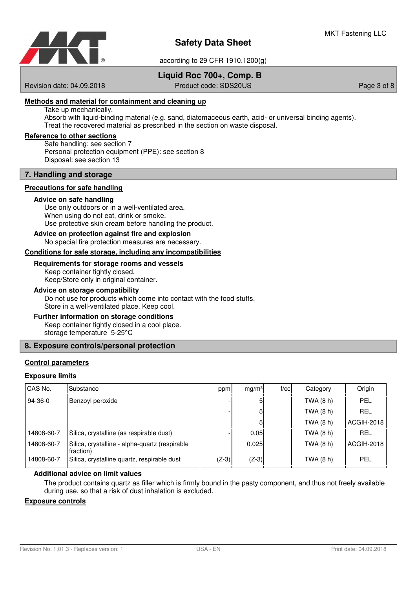

according to 29 CFR 1910.1200(g)

# **Liquid Roc 700+, Comp. B**

Revision date: 04.09.2018 Product code: SDS20US Page 3 of 8

#### **Methods and material for containment and cleaning up**

Take up mechanically.

Absorb with liquid-binding material (e.g. sand, diatomaceous earth, acid- or universal binding agents). Treat the recovered material as prescribed in the section on waste disposal.

#### **Reference to other sections**

Safe handling: see section 7 Personal protection equipment (PPE): see section 8 Disposal: see section 13

#### **7. Handling and storage**

#### **Precautions for safe handling**

#### **Advice on safe handling**

Use only outdoors or in a well-ventilated area. When using do not eat, drink or smoke. Use protective skin cream before handling the product.

#### **Advice on protection against fire and explosion**

No special fire protection measures are necessary.

#### Conditions for safe storage, including any incompatibilities

#### **Requirements for storage rooms and vessels**

Keep container tightly closed. Keep/Store only in original container.

#### **Advice on storage compatibility**

Do not use for products which come into contact with the food stuffs. Store in a well-ventilated place. Keep cool.

#### **Further information on storage conditions**

Keep container tightly closed in a cool place. storage temperature 5-25°C

### **8. Exposure controls/personal protection**

#### **Control parameters**

#### **Exposure limits**

| CAS No.    | Substance                                                   | ppm     | mq/m <sup>3</sup> | f/cc | Category    | Origin     |
|------------|-------------------------------------------------------------|---------|-------------------|------|-------------|------------|
| 94-36-0    | Benzoyl peroxide                                            |         |                   |      | TWA (8 h)   | PEL        |
|            |                                                             |         | 5                 |      | TWA (8 h)   | <b>REL</b> |
|            |                                                             |         |                   |      | TWA (8 h)   | ACGIH-2018 |
| 14808-60-7 | Silica, crystalline (as respirable dust)                    |         | 0.05              |      | TWA $(8 h)$ | <b>REL</b> |
| 14808-60-7 | Silica, crystalline - alpha-quartz (respirable<br>fraction) |         | 0.025             |      | TWA (8 h)   | ACGIH-2018 |
| 14808-60-7 | Silica, crystalline quartz, respirable dust                 | $(Z-3)$ | $(Z-3)$           |      | TWA (8 h)   | PEL        |

#### **Additional advice on limit values**

The product contains quartz as filler which is firmly bound in the pasty component, and thus not freely available during use, so that a risk of dust inhalation is excluded.

#### **Exposure controls**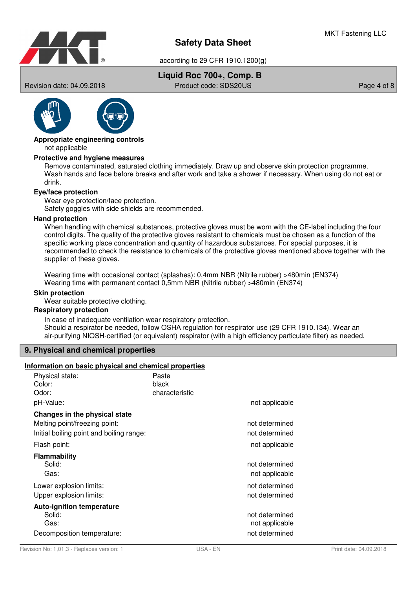

according to 29 CFR 1910.1200(g)

# **Liquid Roc 700+, Comp. B**

Revision date: 04.09.2018 **Product code: SDS20US** Page 4 of 8



#### not applicable **Appropriate engineering controls**

#### **Protective and hygiene measures**

Remove contaminated, saturated clothing immediately. Draw up and observe skin protection programme. Wash hands and face before breaks and after work and take a shower if necessary. When using do not eat or drink.

#### **Eye/face protection**

Wear eye protection/face protection. Safety goggles with side shields are recommended.

#### **Hand protection**

When handling with chemical substances, protective gloves must be worn with the CE-label including the four control digits. The quality of the protective gloves resistant to chemicals must be chosen as a function of the specific working place concentration and quantity of hazardous substances. For special purposes, it is recommended to check the resistance to chemicals of the protective gloves mentioned above together with the supplier of these gloves.

Wearing time with occasional contact (splashes): 0,4mm NBR (Nitrile rubber) >480min (EN374) Wearing time with permanent contact 0,5mm NBR (Nitrile rubber) >480min (EN374)

#### **Skin protection**

Wear suitable protective clothing.

### **Respiratory protection**

In case of inadequate ventilation wear respiratory protection. Should a respirator be needed, follow OSHA regulation for respirator use (29 CFR 1910.134). Wear an air-purifying NIOSH-certified (or equivalent) respirator (with a high efficiency particulate filter) as needed.

### **9. Physical and chemical properties**

### **Information on basic physical and chemical properties**

| Physical state:<br>Color:<br>Odor:<br>pH-Value:                                                            | Paste<br>black<br>characteristic | not applicable                   |
|------------------------------------------------------------------------------------------------------------|----------------------------------|----------------------------------|
| Changes in the physical state<br>Melting point/freezing point:<br>Initial boiling point and boiling range: |                                  | not determined<br>not determined |
| Flash point:                                                                                               |                                  | not applicable                   |
| Flammability<br>Solid:<br>Gas:                                                                             |                                  | not determined<br>not applicable |
| Lower explosion limits:<br>Upper explosion limits:                                                         |                                  | not determined<br>not determined |
| <b>Auto-ignition temperature</b><br>Solid:<br>Gas:                                                         |                                  | not determined<br>not applicable |
| Decomposition temperature:                                                                                 |                                  | not determined                   |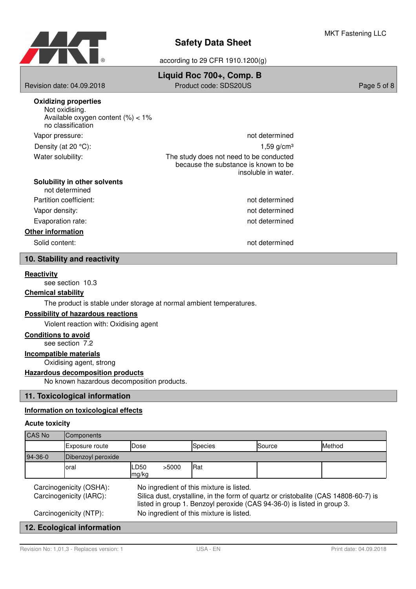

according to 29 CFR 1910.1200(g)

| Revision date: 04.09.2018                                                                                   | Liquid Roc 700+, Comp. B<br>Product code: SDS20US                                                      | Page 5 of 8 |
|-------------------------------------------------------------------------------------------------------------|--------------------------------------------------------------------------------------------------------|-------------|
| <b>Oxidizing properties</b><br>Not oxidising.<br>Available oxygen content $(\%) < 1\%$<br>no classification |                                                                                                        |             |
| Vapor pressure:                                                                                             | not determined                                                                                         |             |
| Density (at 20 $^{\circ}$ C):                                                                               | $1,59$ g/cm <sup>3</sup>                                                                               |             |
| Water solubility:                                                                                           | The study does not need to be conducted<br>because the substance is known to be<br>insoluble in water. |             |
| Solubility in other solvents<br>not determined                                                              |                                                                                                        |             |
| Partition coefficient:                                                                                      | not determined                                                                                         |             |
| Vapor density:                                                                                              | not determined                                                                                         |             |
| Evaporation rate:                                                                                           | not determined                                                                                         |             |
| <b>Other information</b>                                                                                    |                                                                                                        |             |
| Solid content:                                                                                              | not determined                                                                                         |             |
| 10. Stability and reactivity                                                                                |                                                                                                        |             |

#### **Reactivity**

see section 10.3

#### **Chemical stability**

The product is stable under storage at normal ambient temperatures.

### **Possibility of hazardous reactions**

Violent reaction with: Oxidising agent

# **Conditions to avoid**

see section 7.2

# **Incompatible materials**

Oxidising agent, strong

## **Hazardous decomposition products**

No known hazardous decomposition products.

# **11. Toxicological information**

#### **Information on toxicological effects**

#### **Acute toxicity**

| <b>CAS No</b>                                      | Components         |                                                                                                                                                                                                            |       |                |        |        |
|----------------------------------------------------|--------------------|------------------------------------------------------------------------------------------------------------------------------------------------------------------------------------------------------------|-------|----------------|--------|--------|
|                                                    | Exposure route     | Dose                                                                                                                                                                                                       |       | <b>Species</b> | Source | Method |
| $94-36-0$                                          | Dibenzoyl peroxide |                                                                                                                                                                                                            |       |                |        |        |
|                                                    | Ioral              | LD50<br>mg/kg                                                                                                                                                                                              | >5000 | <b>Rat</b>     |        |        |
| Carcinogenicity (OSHA):<br>Carcinogenicity (IARC): |                    | No ingredient of this mixture is listed.<br>Silica dust, crystalline, in the form of quartz or cristobalite (CAS 14808-60-7) is<br>listed in group 1. Benzoyl peroxide (CAS 94-36-0) is listed in group 3. |       |                |        |        |
| Carcinogenicity (NTP):                             |                    | No ingredient of this mixture is listed.                                                                                                                                                                   |       |                |        |        |
| 12. Ecological information                         |                    |                                                                                                                                                                                                            |       |                |        |        |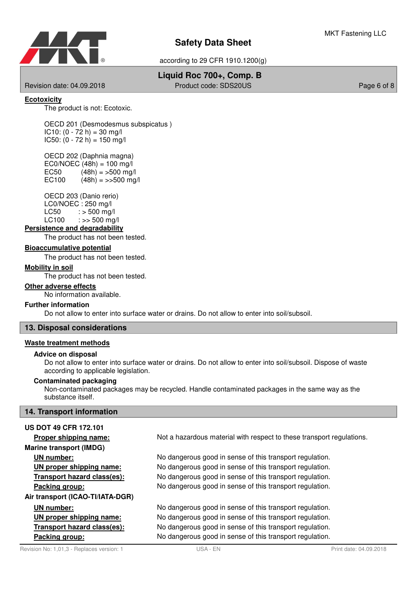

according to 29 CFR 1910.1200(g)

# **Liquid Roc 700+, Comp. B**

Revision date: 04.09.2018 **Product code: SDS20US** Page 6 of 8

### **Ecotoxicity**

The product is not: Ecotoxic.

OECD 201 (Desmodesmus subspicatus )  $IC10: (0 - 72 h) = 30 mg/l$  $IC50: (0 - 72 h) = 150 mg/l$ 

OECD 202 (Daphnia magna)  $EC0/NOEC (48h) = 100$  mg/l EC50  $(48h) = 500$  mg/l EC100  $(48h) = \frac{500 \text{ mg}}{h}$ 

OECD 203 (Danio rerio) LC0/NOEC : 250 mg/l  $LC50$  :  $> 500$  mg/  $LC100$  :  $>> 500$  ma/l

#### **Persistence and degradability**

The product has not been tested.

#### **Bioaccumulative potential**

The product has not been tested.

#### **Mobility in soil**

The product has not been tested.

#### **Other adverse effects**

No information available.

#### **Further information**

Do not allow to enter into surface water or drains. Do not allow to enter into soil/subsoil.

#### **13. Disposal considerations**

#### **Waste treatment methods**

#### **Advice on disposal**

Do not allow to enter into surface water or drains. Do not allow to enter into soil/subsoil. Dispose of waste according to applicable legislation.

#### **Contaminated packaging**

Non-contaminated packages may be recycled. Handle contaminated packages in the same way as the substance itself.

#### **14. Transport information**

# **US DOT 49 CFR 172.101 Proper shipping name:** Not a hazardous material with respect to these transport regulations. **Marine transport (IMDG) UN number:** No dangerous good in sense of this transport regulation. **UN proper shipping name:** No dangerous good in sense of this transport regulation. **Transport hazard class (es):** No dangerous good in sense of this transport regulation. **Packing group:** No dangerous good in sense of this transport regulation. **Air transport (ICAO-TI/IATA-DGR) UN number:** No dangerous good in sense of this transport regulation. **UN proper shipping name:** No dangerous good in sense of this transport regulation. **Transport hazard class (es):** No dangerous good in sense of this transport regulation. **Packing group:** No dangerous good in sense of this transport regulation.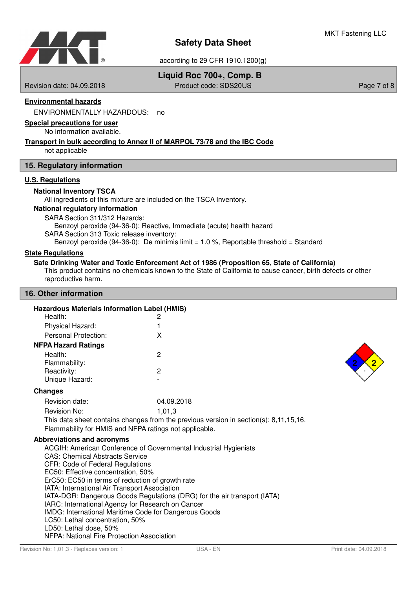

# **Liquid Roc 700+, Comp. B**

Revision date: 04.09.2018 Product code: SDS20US Page 7 of 8

### **Environmental hazards**

ENVIRONMENTALLY HAZARDOUS: no

#### **Special precautions for user**

No information available.

### **Transport in bulk according to Annex II of MARPOL 73/78 and the IBC Code**

not applicable

#### **15. Regulatory information**

# **U.S. Regulations**

#### **National Inventory TSCA**

All ingredients of this mixture are included on the TSCA Inventory.

#### **National regulatory information**

SARA Section 311/312 Hazards:

Benzoyl peroxide (94-36-0): Reactive, Immediate (acute) health hazard

SARA Section 313 Toxic release inventory:

Benzoyl peroxide (94-36-0): De minimis limit  $= 1.0$  %. Reportable threshold  $=$  Standard

#### **State Regulations**

#### **Safe Drinking Water and Toxic Enforcement Act of 1986 (Proposition 65, State of California)**

This product contains no chemicals known to the State of California to cause cancer, birth defects or other reproductive harm.

#### **16. Other information**

|         | <b>Hazardous Materials Information Label (HMIS)</b> |
|---------|-----------------------------------------------------|
| Health: |                                                     |

| Physical Hazard:           |   |
|----------------------------|---|
| Personal Protection:       | x |
| <b>NFPA Hazard Ratings</b> |   |
| Health:                    | 2 |
| Flammability:              |   |
| Reactivity:                | 2 |
| Unique Hazard:             |   |



| Revision date: | 04.09.2018                                                                               |
|----------------|------------------------------------------------------------------------------------------|
| Revision No:   | 1.01.3                                                                                   |
|                | This data sheet contains changes from the previous version in section(s): $8,11,15,16$ . |

Flammability for HMIS and NFPA ratings not applicable.

#### **Abbreviations and acronyms**

ACGIH: American Conference of Governmental Industrial Hygienists CAS: Chemical Abstracts Service CFR: Code of Federal Regulations EC50: Effective concentration, 50% ErC50: EC50 in terms of reduction of growth rate IATA: International Air Transport Association IATA-DGR: Dangerous Goods Regulations (DRG) for the air transport (IATA) IARC: International Agency for Research on Cancer IMDG: International Maritime Code for Dangerous Goods LC50: Lethal concentration, 50% LD50: Lethal dose, 50% NFPA: National Fire Protection Association